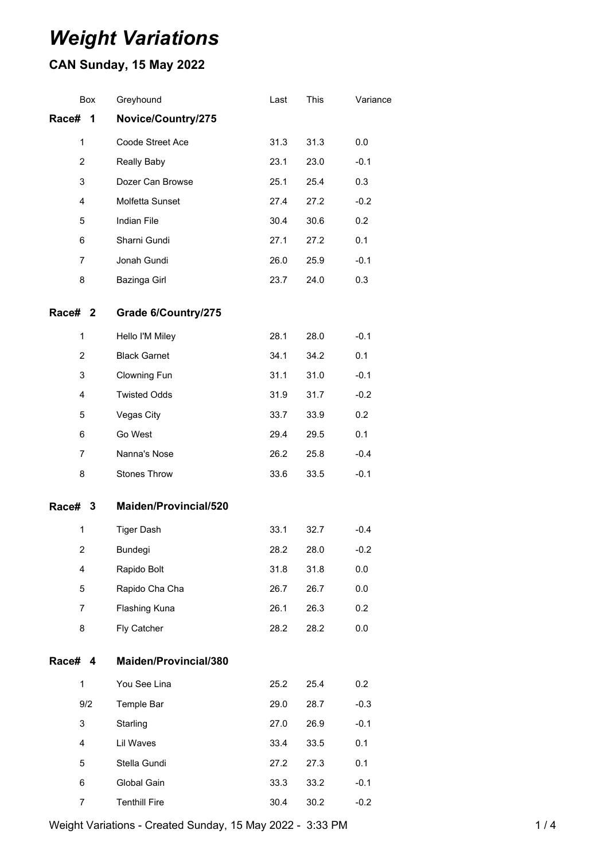# *Weight Variations*

## **CAN Sunday, 15 May 2022**

| Box            | Greyhound             | Last | This | Variance |
|----------------|-----------------------|------|------|----------|
| Race#<br>1     | Novice/Country/275    |      |      |          |
| $\mathbf{1}$   | Coode Street Ace      | 31.3 | 31.3 | 0.0      |
| 2              | Really Baby           | 23.1 | 23.0 | $-0.1$   |
| 3              | Dozer Can Browse      | 25.1 | 25.4 | 0.3      |
| 4              | Molfetta Sunset       | 27.4 | 27.2 | $-0.2$   |
| 5              | Indian File           | 30.4 | 30.6 | 0.2      |
| 6              | Sharni Gundi          | 27.1 | 27.2 | 0.1      |
| $\overline{7}$ | Jonah Gundi           | 26.0 | 25.9 | $-0.1$   |
| 8              | Bazinga Girl          | 23.7 | 24.0 | 0.3      |
| Race# 2        | Grade 6/Country/275   |      |      |          |
| $\mathbf{1}$   | Hello I'M Miley       | 28.1 | 28.0 | $-0.1$   |
| $\overline{2}$ | <b>Black Garnet</b>   | 34.1 | 34.2 | 0.1      |
| 3              | Clowning Fun          | 31.1 | 31.0 | $-0.1$   |
| 4              | <b>Twisted Odds</b>   | 31.9 | 31.7 | $-0.2$   |
| 5              | Vegas City            | 33.7 | 33.9 | 0.2      |
| 6              | Go West               | 29.4 | 29.5 | 0.1      |
| 7              | Nanna's Nose          | 26.2 | 25.8 | $-0.4$   |
| 8              | Stones Throw          | 33.6 | 33.5 | $-0.1$   |
| Race# 3        | Maiden/Provincial/520 |      |      |          |
| $\mathbf{1}$   | <b>Tiger Dash</b>     | 33.1 | 32.7 | $-0.4$   |
| 2              | Bundegi               | 28.2 | 28.0 | $-0.2$   |
| 4              | Rapido Bolt           | 31.8 | 31.8 | 0.0      |
| 5              | Rapido Cha Cha        | 26.7 | 26.7 | 0.0      |
| 7              | Flashing Kuna         | 26.1 | 26.3 | 0.2      |
| 8              | Fly Catcher           | 28.2 | 28.2 | 0.0      |
| Race# 4        | Maiden/Provincial/380 |      |      |          |
| $\mathbf{1}$   | You See Lina          | 25.2 | 25.4 | 0.2      |
| 9/2            | Temple Bar            | 29.0 | 28.7 | $-0.3$   |
| 3              | Starling              | 27.0 | 26.9 | $-0.1$   |
| 4              | Lil Waves             | 33.4 | 33.5 | 0.1      |
| 5              | Stella Gundi          | 27.2 | 27.3 | 0.1      |
| 6              | Global Gain           | 33.3 | 33.2 | $-0.1$   |
| 7              | <b>Tenthill Fire</b>  | 30.4 | 30.2 | $-0.2$   |

Weight Variations - Created Sunday, 15 May 2022 - 3:33 PM 1/4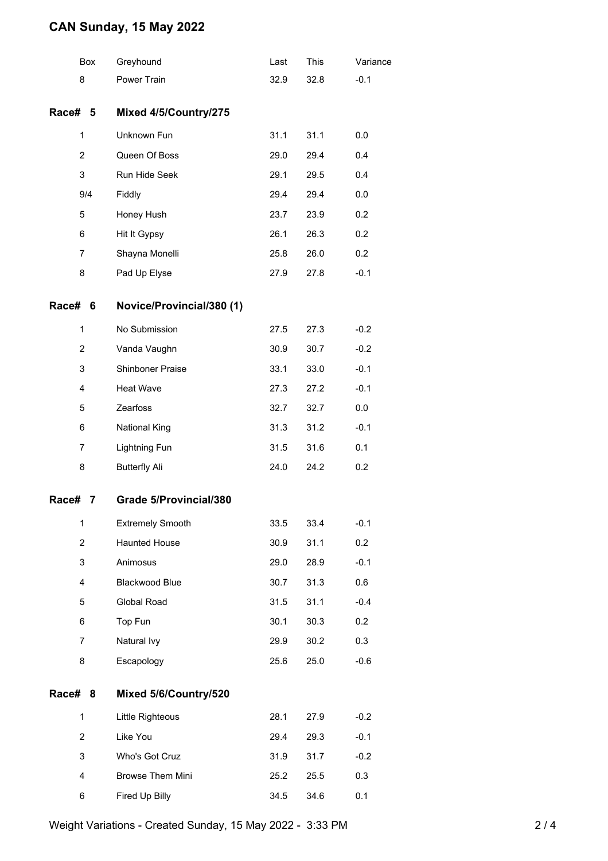### **CAN Sunday, 15 May 2022**

|             | <b>Box</b>     | Greyhound                 | Last | <b>This</b> | Variance |
|-------------|----------------|---------------------------|------|-------------|----------|
| 8           |                | Power Train               | 32.9 | 32.8        | $-0.1$   |
| Race# 5     |                | Mixed 4/5/Country/275     |      |             |          |
| 1           |                | Unknown Fun               | 31.1 | 31.1        | 0.0      |
|             | $\overline{2}$ | Queen Of Boss             | 29.0 | 29.4        | 0.4      |
|             | 3              | Run Hide Seek             | 29.1 | 29.5        | 0.4      |
|             | 9/4            | Fiddly                    | 29.4 | 29.4        | 0.0      |
| 5           |                | Honey Hush                | 23.7 | 23.9        | 0.2      |
| 6           |                | Hit It Gypsy              | 26.1 | 26.3        | 0.2      |
| 7           |                | Shayna Monelli            | 25.8 | 26.0        | 0.2      |
| 8           |                | Pad Up Elyse              | 27.9 | 27.8        | $-0.1$   |
| Race#       | 6              | Novice/Provincial/380 (1) |      |             |          |
| 1           |                | No Submission             | 27.5 | 27.3        | $-0.2$   |
|             | $\overline{2}$ | Vanda Vaughn              | 30.9 | 30.7        | $-0.2$   |
| 3           |                | Shinboner Praise          | 33.1 | 33.0        | $-0.1$   |
| 4           |                | Heat Wave                 | 27.3 | 27.2        | $-0.1$   |
| 5           |                | Zearfoss                  | 32.7 | 32.7        | 0.0      |
| 6           |                | <b>National King</b>      | 31.3 | 31.2        | $-0.1$   |
| 7           |                | <b>Lightning Fun</b>      | 31.5 | 31.6        | 0.1      |
| 8           |                | <b>Butterfly Ali</b>      | 24.0 | 24.2        | 0.2      |
| Race#       | 7              | Grade 5/Provincial/380    |      |             |          |
| 1           |                | <b>Extremely Smooth</b>   | 33.5 | 33.4        | $-0.1$   |
|             | 2              | <b>Haunted House</b>      | 30.9 | 31.1        | 0.2      |
| 3           |                | Animosus                  | 29.0 | 28.9        | $-0.1$   |
|             | 4              | Blackwood Blue            | 30.7 | 31.3        | 0.6      |
|             | 5              | Global Road               | 31.5 | 31.1        | $-0.4$   |
| 6           |                | Top Fun                   | 30.1 | 30.3        | 0.2      |
|             | $\overline{7}$ | Natural Ivy               | 29.9 | 30.2        | 0.3      |
| 8           |                | Escapology                | 25.6 | 25.0        | $-0.6$   |
| Race# 8     |                | Mixed 5/6/Country/520     |      |             |          |
| $\mathbf 1$ |                | Little Righteous          | 28.1 | 27.9        | $-0.2$   |
|             | $\overline{2}$ | Like You                  | 29.4 | 29.3        | $-0.1$   |
|             | 3              | Who's Got Cruz            | 31.9 | 31.7        | $-0.2$   |
| 4           |                | Browse Them Mini          | 25.2 | 25.5        | 0.3      |
|             | 6              | Fired Up Billy            | 34.5 | 34.6        | 0.1      |

Weight Variations - Created Sunday, 15 May 2022 - 3:33 PM 2/4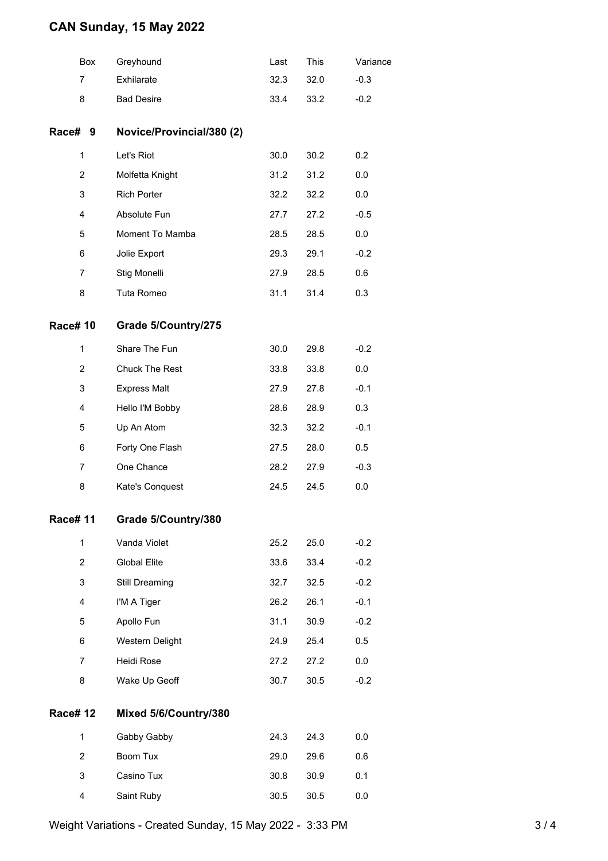### **CAN Sunday, 15 May 2022**

|                | <b>Box</b>     | Greyhound                 | Last | This | Variance |
|----------------|----------------|---------------------------|------|------|----------|
|                | 7              | Exhilarate                | 32.3 | 32.0 | $-0.3$   |
|                | 8              | <b>Bad Desire</b>         | 33.4 | 33.2 | $-0.2$   |
| Race# 9        |                | Novice/Provincial/380 (2) |      |      |          |
|                | $\mathbf{1}$   | Let's Riot                | 30.0 | 30.2 | 0.2      |
|                | 2              | Molfetta Knight           | 31.2 | 31.2 | 0.0      |
|                | 3              | <b>Rich Porter</b>        | 32.2 | 32.2 | 0.0      |
|                | 4              | Absolute Fun              | 27.7 | 27.2 | $-0.5$   |
|                | 5              | Moment To Mamba           | 28.5 | 28.5 | 0.0      |
|                | 6              | Jolie Export              | 29.3 | 29.1 | $-0.2$   |
|                | 7              | Stig Monelli              | 27.9 | 28.5 | 0.6      |
|                | 8              | Tuta Romeo                | 31.1 | 31.4 | 0.3      |
| <b>Race#10</b> |                | Grade 5/Country/275       |      |      |          |
|                | $\mathbf{1}$   | Share The Fun             | 30.0 | 29.8 | $-0.2$   |
|                | $\overline{2}$ | Chuck The Rest            | 33.8 | 33.8 | 0.0      |
|                | 3              | <b>Express Malt</b>       | 27.9 | 27.8 | $-0.1$   |
|                | 4              | Hello I'M Bobby           | 28.6 | 28.9 | 0.3      |
|                | 5              | Up An Atom                | 32.3 | 32.2 | $-0.1$   |
|                | 6              | Forty One Flash           | 27.5 | 28.0 | 0.5      |
|                | 7              | One Chance                | 28.2 | 27.9 | $-0.3$   |
|                | 8              | Kate's Conquest           | 24.5 | 24.5 | 0.0      |
| <b>Race#11</b> |                | Grade 5/Country/380       |      |      |          |
|                | $\mathbf{1}$   | Vanda Violet              | 25.2 | 25.0 | $-0.2$   |
|                | $\overline{2}$ | <b>Global Elite</b>       | 33.6 | 33.4 | $-0.2$   |
|                | 3              | Still Dreaming            | 32.7 | 32.5 | $-0.2$   |
|                | 4              | I'M A Tiger               | 26.2 | 26.1 | $-0.1$   |
|                | 5              | Apollo Fun                | 31.1 | 30.9 | $-0.2$   |
|                | 6              | Western Delight           | 24.9 | 25.4 | 0.5      |
|                | $\overline{7}$ | Heidi Rose                | 27.2 | 27.2 | 0.0      |
|                | 8              | Wake Up Geoff             | 30.7 | 30.5 | $-0.2$   |
| <b>Race#12</b> |                | Mixed 5/6/Country/380     |      |      |          |
|                | 1              | Gabby Gabby               | 24.3 | 24.3 | 0.0      |
|                | $\overline{2}$ | Boom Tux                  | 29.0 | 29.6 | 0.6      |
|                | 3              | Casino Tux                | 30.8 | 30.9 | 0.1      |
|                | 4              | Saint Ruby                | 30.5 | 30.5 | 0.0      |
|                |                |                           |      |      |          |

Weight Variations - Created Sunday, 15 May 2022 - 3:33 PM 3 / 4